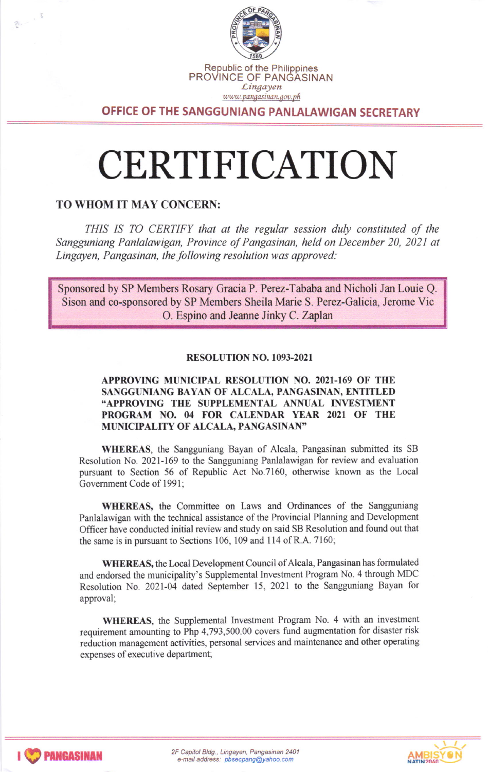

OFFICE OF THE SANGGUNIANG PANLALAWIGAN SECRETARY

# CERTIFICATION

### TO WHOM IT MAY CONCERN:

 $\mathfrak{F}^{\mathbb{C}}$  ,  $\mathfrak{F}$ 

THIS IS TO CERTIFY that at the regular session duly constituted of the Sangguniang Panlalawigan, Province of Pangasinan, held on December 20, 2021 at Lingayen, Pangasinan, the following resolution was approved:

Sponsored by SP Members Rosary Gracia P. Perez-Tababa and Nicholi Jan Louie Q Sison and co-sponsored by SP Members Sheila Marie S. Perez-Galicia, Jerome Vic O. Espino and Jeanne Jinky C. Zaplan

#### RESOLUTION NO. 1093-2021

#### APPROVING MUNICIPAL RESOLUTION NO. 2021-169 OF THE SANGGUNIANG BAYAN OF ALCALA, PANGASINAN, ENTITLED "APPROVING THE SUPPLEMENTAL ANNUAL INVESTMENT PROGRAM NO. 04 FOR CALENDAR YEAR 2021 OF THE MUNICIPALITY OF ALCALA, PANGASINAN'

WHEREAS, the Sangguniang Bayan of Alcala, Pangasinan submitted its SB Resolution No. 2021-169 to the Sangguniang Panlalawigan for review and evaluation pursuant to Section 56 of Republic Act No.7160, otherwise known as the Local Govemment Code of 1991;

WHEREAS, the Committee on Laws and Ordinances of the Sangguniang Panlalawigan with the technical assistance of the Provincial Planning and Development Officer have conducted initial review and study on said SB Resolution and found out that the same is in pursuant to Sections 106, 109 and 114 of R.A. 7160;

WHEREAS, the Local Development Council of Alcala, Pangasinan has formulated and endorsed the municipality's Supplemental Investment Program No. 4 through MDC Resolution No. 2021-04 dated September 15,2021 to the Sangguniang Bayan for approval;

WHEREAS, the Supplemental Investment Program No. 4 with an investment requirement amounting to Php 4,793,500.00 covers fund augmentation for disaster risk reduction management activities, personal services and maintenance and other operating expenses of executive department;